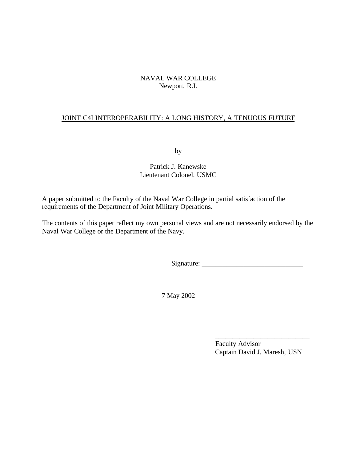# NAVAL WAR COLLEGE Newport, R.I.

# JOINT C4I INTEROPERABILITY: A LONG HISTORY, A TENUOUS FUTURE

by

Patrick J. Kanewske Lieutenant Colonel, USMC

A paper submitted to the Faculty of the Naval War College in partial satisfaction of the requirements of the Department of Joint Military Operations.

The contents of this paper reflect my own personal views and are not necessarily endorsed by the Naval War College or the Department of the Navy.

Signature: \_\_\_\_\_\_\_\_\_\_\_\_\_\_\_\_\_\_\_\_\_\_\_\_\_\_\_\_\_

7 May 2002

 Faculty Advisor Captain David J. Maresh, USN

 $\overline{\phantom{a}}$  , which is a set of the set of the set of the set of the set of the set of the set of the set of the set of the set of the set of the set of the set of the set of the set of the set of the set of the set of th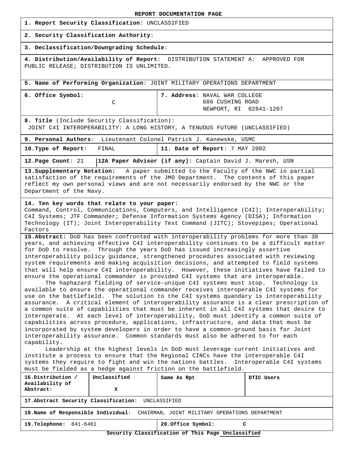| <b>REPORT DOCUMENTATION PAGE</b> |
|----------------------------------|
|----------------------------------|

|  |  |  | 1. Report Security Classification: UNCLASSIFIED |  |
|--|--|--|-------------------------------------------------|--|
|--|--|--|-------------------------------------------------|--|

#### **2. Security Classification Authority**:

#### **3. Declassification/Downgrading Schedule**:

**4. Distribution/Availability of Report**: DISTRIBUTION STATEMENT A: APPROVED FOR PUBLIC RELEASE; DISTRIBUTION IS UNLIMITED.

**5. Name of Performing Organization**: JOINT MILITARY OPERATIONS DEPARTMENT

| 6. Office Symbol: | 7. Address: NAVAL WAR COLLEGE |
|-------------------|-------------------------------|
|                   | 686 CUSHING ROAD              |
|                   | NEWPORT, RI 02841-1207        |

**8. Title** (Include Security Classification):

JOINT C4I INTEROPERABILITY: A LONG HISTORY, A TENUOUS FUTURE (UNCLASSIFIED)

| 9. Personal Authors: Lieutenant Colonel Patrick J. Kanewske, USMC |  |  |                                |  |  |
|-------------------------------------------------------------------|--|--|--------------------------------|--|--|
| 10. Type of Report: FINAL                                         |  |  | 11. Date of Report: 7 MAY 2002 |  |  |

**12.Page Count**: 21 **12A Paper Advisor (if any):** Captain David J. Maresh, USN

**13.Supplementary Notation:** A paper submitted to the Faculty of the NWC in partial satisfaction of the requirements of the JMO Department. The contents of this paper reflect my own personal views and are not necessarily endorsed by the NWC or the Department of the Navy.

#### **14. Ten key words that relate to your paper:**

Command, Control, Communications, Computers, and Intelligence (C4I); Interoperability; C4I Systems; JTF Commander; Defense Information Systems Agency (DISA); Information Technology (IT); Joint Interoperability Test Command (JITC); Stovepipes; Operational Factors

**15.Abstract:** DoD has been confronted with interoperability problems for more than 30 years, and achieving effective C4I interoperability continues to be a difficult matter for DoD to resolve. Through the years DoD has issued increasingly assertive interoperability policy guidance, strengthened procedures associated with reviewing system requirements and making acquisition decisions, and attempted to field systems that will help ensure C4I interoperability. However, these initiatives have failed to ensure the operational commander is provided C4I systems that are interoperable.

The haphazard fielding of service-unique C4I systems must stop. Technology is available to ensure the operational commander receives interoperable C4I systems for use on the battlefield. The solution to the C4I systems quandary is interoperability assurance. A critical element of interoperability assurance is a clear prescription of a common suite of capabilities that must be inherent in all C4I systems that desire to interoperate. At each level of interoperability, DoD must identify a common suite of capabilities across procedure, applications, infrastructure, and data that must be incorporated by system developers in order to have a common-ground basis for Joint interoperability assurance. Common standards must also be adhered to for each capability.

Leadership at the highest levels in DoD must leverage current initiatives and institute a process to ensure that the Regional CINCs have the interoperable C4I systems they require to fight and win the nations battles. Interoperable C4I systems must be fielded as a hedge against friction on the battlefield.

| 16.Distribution /<br>Availability of                                               | Unclassified | Same As Rpt             | DTIC Users |  |  |
|------------------------------------------------------------------------------------|--------------|-------------------------|------------|--|--|
| Abstract:                                                                          |              |                         |            |  |  |
| 17. Abstract Security Classification: UNCLASSIFIED                                 |              |                         |            |  |  |
| 18. Name of Responsible Individual: CHAIRMAN, JOINT MILITARY OPERATIONS DEPARTMENT |              |                         |            |  |  |
| <b>19.Telephone:</b><br>841-6461                                                   |              | 20. Office Symbol:<br>c |            |  |  |

**Security Classification of This Page Unclassified**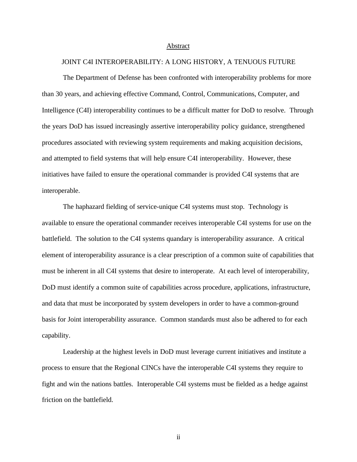#### Abstract

#### JOINT C4I INTEROPERABILITY: A LONG HISTORY, A TENUOUS FUTURE

The Department of Defense has been confronted with interoperability problems for more than 30 years, and achieving effective Command, Control, Communications, Computer, and Intelligence (C4I) interoperability continues to be a difficult matter for DoD to resolve. Through the years DoD has issued increasingly assertive interoperability policy guidance, strengthened procedures associated with reviewing system requirements and making acquisition decisions, and attempted to field systems that will help ensure C4I interoperability. However, these initiatives have failed to ensure the operational commander is provided C4I systems that are interoperable.

The haphazard fielding of service-unique C4I systems must stop. Technology is available to ensure the operational commander receives interoperable C4I systems for use on the battlefield. The solution to the C4I systems quandary is interoperability assurance. A critical element of interoperability assurance is a clear prescription of a common suite of capabilities that must be inherent in all C4I systems that desire to interoperate. At each level of interoperability, DoD must identify a common suite of capabilities across procedure, applications, infrastructure, and data that must be incorporated by system developers in order to have a common-ground basis for Joint interoperability assurance. Common standards must also be adhered to for each capability.

Leadership at the highest levels in DoD must leverage current initiatives and institute a process to ensure that the Regional CINCs have the interoperable C4I systems they require to fight and win the nations battles. Interoperable C4I systems must be fielded as a hedge against friction on the battlefield.

ii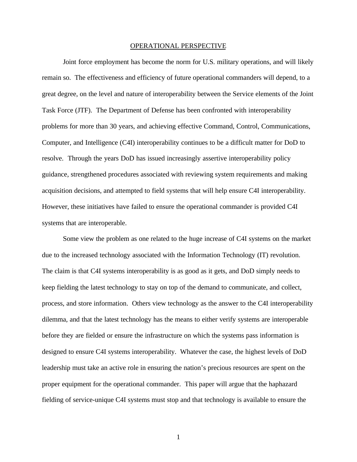#### OPERATIONAL PERSPECTIVE

Joint force employment has become the norm for U.S. military operations, and will likely remain so. The effectiveness and efficiency of future operational commanders will depend, to a great degree, on the level and nature of interoperability between the Service elements of the Joint Task Force (JTF). The Department of Defense has been confronted with interoperability problems for more than 30 years, and achieving effective Command, Control, Communications, Computer, and Intelligence (C4I) interoperability continues to be a difficult matter for DoD to resolve. Through the years DoD has issued increasingly assertive interoperability policy guidance, strengthened procedures associated with reviewing system requirements and making acquisition decisions, and attempted to field systems that will help ensure C4I interoperability. However, these initiatives have failed to ensure the operational commander is provided C4I systems that are interoperable.

Some view the problem as one related to the huge increase of C4I systems on the market due to the increased technology associated with the Information Technology (IT) revolution. The claim is that C4I systems interoperability is as good as it gets, and DoD simply needs to keep fielding the latest technology to stay on top of the demand to communicate, and collect, process, and store information. Others view technology as the answer to the C4I interoperability dilemma, and that the latest technology has the means to either verify systems are interoperable before they are fielded or ensure the infrastructure on which the systems pass information is designed to ensure C4I systems interoperability. Whatever the case, the highest levels of DoD leadership must take an active role in ensuring the nation's precious resources are spent on the proper equipment for the operational commander. This paper will argue that the haphazard fielding of service-unique C4I systems must stop and that technology is available to ensure the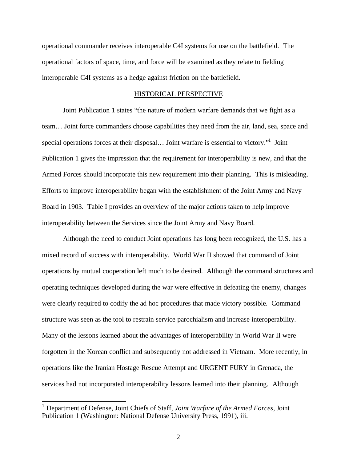operational commander receives interoperable C4I systems for use on the battlefield. The operational factors of space, time, and force will be examined as they relate to fielding interoperable C4I systems as a hedge against friction on the battlefield.

### HISTORICAL PERSPECTIVE

Joint Publication 1 states "the nature of modern warfare demands that we fight as a team… Joint force commanders choose capabilities they need from the air, land, sea, space and special operations forces at their disposal... Joint warfare is essential to victory."<sup>1</sup> Joint Publication 1 gives the impression that the requirement for interoperability is new, and that the Armed Forces should incorporate this new requirement into their planning. This is misleading. Efforts to improve interoperability began with the establishment of the Joint Army and Navy Board in 1903. Table I provides an overview of the major actions taken to help improve interoperability between the Services since the Joint Army and Navy Board.

Although the need to conduct Joint operations has long been recognized, the U.S. has a mixed record of success with interoperability. World War II showed that command of Joint operations by mutual cooperation left much to be desired. Although the command structures and operating techniques developed during the war were effective in defeating the enemy, changes were clearly required to codify the ad hoc procedures that made victory possible. Command structure was seen as the tool to restrain service parochialism and increase interoperability. Many of the lessons learned about the advantages of interoperability in World War II were forgotten in the Korean conflict and subsequently not addressed in Vietnam. More recently, in operations like the Iranian Hostage Rescue Attempt and URGENT FURY in Grenada, the services had not incorporated interoperability lessons learned into their planning. Although

l

<sup>1</sup> Department of Defense, Joint Chiefs of Staff, *Joint Warfare of the Armed Forces*, Joint Publication 1 (Washington: National Defense University Press, 1991), iii.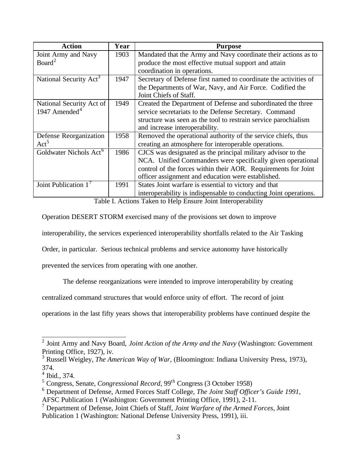| <b>Action</b>                      | Year | <b>Purpose</b>                                                    |
|------------------------------------|------|-------------------------------------------------------------------|
| Joint Army and Navy                | 1903 | Mandated that the Army and Navy coordinate their actions as to    |
| Board <sup>2</sup>                 |      | produce the most effective mutual support and attain              |
|                                    |      | coordination in operations.                                       |
| National Security Act <sup>3</sup> | 1947 | Secretary of Defense first named to coordinate the activities of  |
|                                    |      | the Departments of War, Navy, and Air Force. Codified the         |
|                                    |      | Joint Chiefs of Staff.                                            |
| National Security Act of           | 1949 | Created the Department of Defense and subordinated the three      |
| 1947 Amended <sup>4</sup>          |      | service secretariats to the Defense Secretary. Command            |
|                                    |      | structure was seen as the tool to restrain service parochialism   |
|                                    |      | and increase interoperability.                                    |
| Defense Reorganization             | 1958 | Removed the operational authority of the service chiefs, thus     |
| Act <sup>5</sup>                   |      | creating an atmosphere for interoperable operations.              |
| Goldwater Nichols Act <sup>6</sup> | 1986 | CJCS was designated as the principal military advisor to the      |
|                                    |      | NCA. Unified Commanders were specifically given operational       |
|                                    |      | control of the forces within their AOR. Requirements for Joint    |
|                                    |      | officer assignment and education were established.                |
| Joint Publication $17$             | 1991 | States Joint warfare is essential to victory and that             |
|                                    |      | interoperability is indispensable to conducting Joint operations. |

Table I. Actions Taken to Help Ensure Joint Interoperability

Operation DESERT STORM exercised many of the provisions set down to improve

interoperability, the services experienced interoperability shortfalls related to the Air Tasking

Order, in particular. Serious technical problems and service autonomy have historically

prevented the services from operating with one another.

The defense reorganizations were intended to improve interoperability by creating

centralized command structures that would enforce unity of effort. The record of joint

operations in the last fifty years shows that interoperability problems have continued despite the

 2 Joint Army and Navy Board, *Joint Action of the Army and the Navy* (Washington: Government Printing Office, 1927), iv.

<sup>3</sup> Russell Weigley, *The American Way of War*, (Bloomington: Indiana University Press, 1973), 374.

<sup>4</sup> Ibid., 374.

<sup>&</sup>lt;sup>5</sup> Congress, Senate, *Congressional Record*, 99<sup>th</sup> Congress (3 October 1958)

<sup>6</sup> Department of Defense, Armed Forces Staff College, *The Joint Staff Officer's Guide 1991*,

AFSC Publication 1 (Washington: Government Printing Office, 1991), 2-11.

<sup>7</sup> Department of Defense, Joint Chiefs of Staff, *Joint Warfare of the Armed Forces*, Joint Publication 1 (Washington: National Defense University Press, 1991), iii.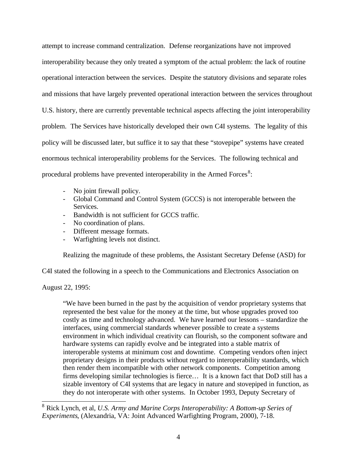attempt to increase command centralization. Defense reorganizations have not improved interoperability because they only treated a symptom of the actual problem: the lack of routine operational interaction between the services. Despite the statutory divisions and separate roles and missions that have largely prevented operational interaction between the services throughout U.S. history, there are currently preventable technical aspects affecting the joint interoperability problem. The Services have historically developed their own C4I systems. The legality of this policy will be discussed later, but suffice it to say that these "stovepipe" systems have created enormous technical interoperability problems for the Services. The following technical and procedural problems have prevented interoperability in the Armed Forces $8$ :

- No joint firewall policy.
- Global Command and Control System (GCCS) is not interoperable between the Services.
- Bandwidth is not sufficient for GCCS traffic.
- No coordination of plans.
- Different message formats.
- Warfighting levels not distinct.

Realizing the magnitude of these problems, the Assistant Secretary Defense (ASD) for

C4I stated the following in a speech to the Communications and Electronics Association on

August 22, 1995:

l

"We have been burned in the past by the acquisition of vendor proprietary systems that represented the best value for the money at the time, but whose upgrades proved too costly as time and technology advanced. We have learned our lessons – standardize the interfaces, using commercial standards whenever possible to create a systems environment in which individual creativity can flourish, so the component software and hardware systems can rapidly evolve and be integrated into a stable matrix of interoperable systems at minimum cost and downtime. Competing vendors often inject proprietary designs in their products without regard to interoperability standards, which then render them incompatible with other network components. Competition among firms developing similar technologies is fierce… It is a known fact that DoD still has a sizable inventory of C4I systems that are legacy in nature and stovepiped in function, as they do not interoperate with other systems. In October 1993, Deputy Secretary of

<sup>8</sup> Rick Lynch, et al, *U.S. Army and Marine Corps Interoperability: A Bottom-up Series of Experiments*, (Alexandria, VA: Joint Advanced Warfighting Program, 2000), 7-18.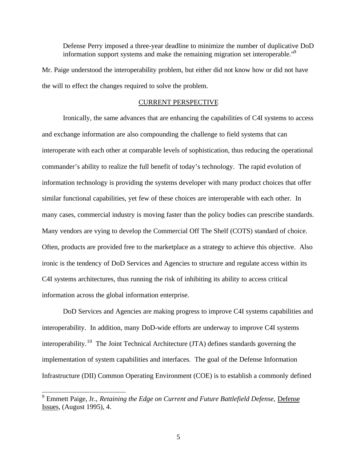Defense Perry imposed a three-year deadline to minimize the number of duplicative DoD information support systems and make the remaining migration set interoperable.<sup>"9</sup>

Mr. Paige understood the interoperability problem, but either did not know how or did not have the will to effect the changes required to solve the problem.

### CURRENT PERSPECTIVE

Ironically, the same advances that are enhancing the capabilities of C4I systems to access and exchange information are also compounding the challenge to field systems that can interoperate with each other at comparable levels of sophistication, thus reducing the operational commander's ability to realize the full benefit of today's technology. The rapid evolution of information technology is providing the systems developer with many product choices that offer similar functional capabilities, yet few of these choices are interoperable with each other. In many cases, commercial industry is moving faster than the policy bodies can prescribe standards. Many vendors are vying to develop the Commercial Off The Shelf (COTS) standard of choice. Often, products are provided free to the marketplace as a strategy to achieve this objective. Also ironic is the tendency of DoD Services and Agencies to structure and regulate access within its C4I systems architectures, thus running the risk of inhibiting its ability to access critical information across the global information enterprise.

DoD Services and Agencies are making progress to improve C4I systems capabilities and interoperability. In addition, many DoD-wide efforts are underway to improve C4I systems interoperability.<sup>10</sup> The Joint Technical Architecture (JTA) defines standards governing the implementation of system capabilities and interfaces. The goal of the Defense Information Infrastructure (DII) Common Operating Environment (COE) is to establish a commonly defined

<sup>&</sup>lt;sup>9</sup> Emmett Paige, Jr., *Retaining the Edge on Current and Future Battlefield Defense*, <u>Defense</u> Issues, (August 1995), 4.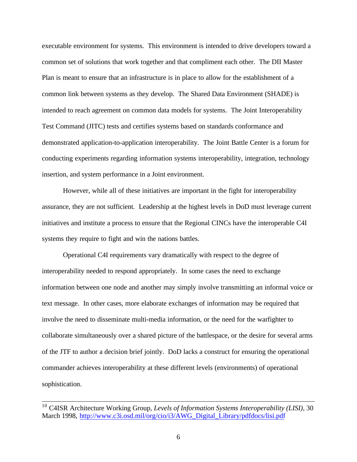executable environment for systems. This environment is intended to drive developers toward a common set of solutions that work together and that compliment each other. The DII Master Plan is meant to ensure that an infrastructure is in place to allow for the establishment of a common link between systems as they develop. The Shared Data Environment (SHADE) is intended to reach agreement on common data models for systems. The Joint Interoperability Test Command (JITC) tests and certifies systems based on standards conformance and demonstrated application-to-application interoperability. The Joint Battle Center is a forum for conducting experiments regarding information systems interoperability, integration, technology insertion, and system performance in a Joint environment.

However, while all of these initiatives are important in the fight for interoperability assurance, they are not sufficient. Leadership at the highest levels in DoD must leverage current initiatives and institute a process to ensure that the Regional CINCs have the interoperable C4I systems they require to fight and win the nations battles.

Operational C4I requirements vary dramatically with respect to the degree of interoperability needed to respond appropriately. In some cases the need to exchange information between one node and another may simply involve transmitting an informal voice or text message. In other cases, more elaborate exchanges of information may be required that involve the need to disseminate multi-media information, or the need for the warfighter to collaborate simultaneously over a shared picture of the battlespace, or the desire for several arms of the JTF to author a decision brief jointly. DoD lacks a construct for ensuring the operational commander achieves interoperability at these different levels (environments) of operational sophistication.

l

<sup>10</sup> C4ISR Architecture Working Group, *Levels of Information Systems Interoperability (LISI),* 30 March 1998, http://www.c3i.osd.mil/org/cio/i3/AWG\_Digital\_Library/pdfdocs/lisi.pdf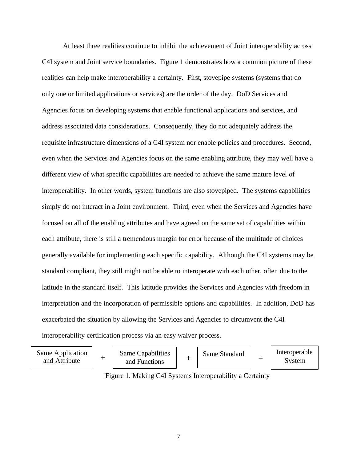At least three realities continue to inhibit the achievement of Joint interoperability across C4I system and Joint service boundaries. Figure 1 demonstrates how a common picture of these realities can help make interoperability a certainty. First, stovepipe systems (systems that do only one or limited applications or services) are the order of the day. DoD Services and Agencies focus on developing systems that enable functional applications and services, and address associated data considerations. Consequently, they do not adequately address the requisite infrastructure dimensions of a C4I system nor enable policies and procedures. Second, even when the Services and Agencies focus on the same enabling attribute, they may well have a different view of what specific capabilities are needed to achieve the same mature level of interoperability. In other words, system functions are also stovepiped. The systems capabilities simply do not interact in a Joint environment. Third, even when the Services and Agencies have focused on all of the enabling attributes and have agreed on the same set of capabilities within each attribute, there is still a tremendous margin for error because of the multitude of choices generally available for implementing each specific capability. Although the C4I systems may be standard compliant, they still might not be able to interoperate with each other, often due to the latitude in the standard itself. This latitude provides the Services and Agencies with freedom in interpretation and the incorporation of permissible options and capabilities. In addition, DoD has exacerbated the situation by allowing the Services and Agencies to circumvent the C4I interoperability certification process via an easy waiver process.



Figure 1. Making C4I Systems Interoperability a Certainty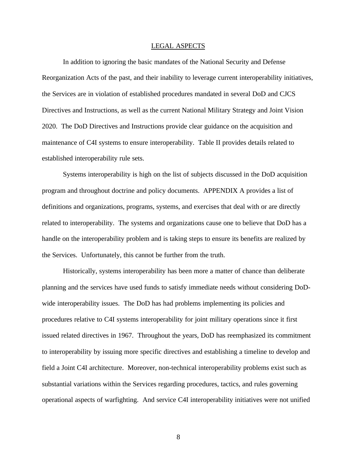#### LEGAL ASPECTS

In addition to ignoring the basic mandates of the National Security and Defense Reorganization Acts of the past, and their inability to leverage current interoperability initiatives, the Services are in violation of established procedures mandated in several DoD and CJCS Directives and Instructions, as well as the current National Military Strategy and Joint Vision 2020. The DoD Directives and Instructions provide clear guidance on the acquisition and maintenance of C4I systems to ensure interoperability. Table II provides details related to established interoperability rule sets.

Systems interoperability is high on the list of subjects discussed in the DoD acquisition program and throughout doctrine and policy documents. APPENDIX A provides a list of definitions and organizations, programs, systems, and exercises that deal with or are directly related to interoperability. The systems and organizations cause one to believe that DoD has a handle on the interoperability problem and is taking steps to ensure its benefits are realized by the Services. Unfortunately, this cannot be further from the truth.

Historically, systems interoperability has been more a matter of chance than deliberate planning and the services have used funds to satisfy immediate needs without considering DoDwide interoperability issues. The DoD has had problems implementing its policies and procedures relative to C4I systems interoperability for joint military operations since it first issued related directives in 1967. Throughout the years, DoD has reemphasized its commitment to interoperability by issuing more specific directives and establishing a timeline to develop and field a Joint C4I architecture. Moreover, non-technical interoperability problems exist such as substantial variations within the Services regarding procedures, tactics, and rules governing operational aspects of warfighting. And service C4I interoperability initiatives were not unified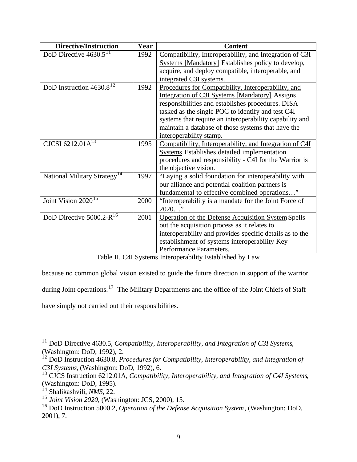| <b>Directive/Instruction</b>              | Year | <b>Content</b>                                           |
|-------------------------------------------|------|----------------------------------------------------------|
| DoD Directive $4630.5^{11}$               | 1992 | Compatibility, Interoperability, and Integration of C3I  |
|                                           |      | Systems [Mandatory] Establishes policy to develop,       |
|                                           |      | acquire, and deploy compatible, interoperable, and       |
|                                           |      | integrated C3I systems.                                  |
| DoD Instruction $4630.8^{12}$             | 1992 | Procedures for Compatibility, Interoperability, and      |
|                                           |      | Integration of C3I Systems [Mandatory] Assigns           |
|                                           |      | responsibilities and establishes procedures. DISA        |
|                                           |      | tasked as the single POC to identify and test C4I        |
|                                           |      | systems that require an interoperability capability and  |
|                                           |      | maintain a database of those systems that have the       |
|                                           |      | interoperability stamp.                                  |
| CJCSI 6212.01 $A^{13}$                    | 1995 | Compatibility, Interoperability, and Integration of C4I  |
|                                           |      | Systems Establishes detailed implementation              |
|                                           |      | procedures and responsibility - C4I for the Warrior is   |
|                                           |      | the objective vision.                                    |
| National Military Strategy <sup>14</sup>  | 1997 | "Laying a solid foundation for interoperability with     |
|                                           |      | our alliance and potential coalition partners is         |
|                                           |      | fundamental to effective combined operations"            |
| Joint Vision $2020^{15}$                  | 2000 | "Interoperability is a mandate for the Joint Force of    |
|                                           |      | $2020$ "                                                 |
| DoD Directive 5000.2- $\overline{R^{16}}$ | 2001 | Operation of the Defense Acquisition System Spells       |
|                                           |      | out the acquisition process as it relates to             |
|                                           |      | interoperability and provides specific details as to the |
|                                           |      | establishment of systems interoperability Key            |
|                                           |      | Performance Parameters.                                  |

Table II. C4I Systems Interoperability Established by Law

because no common global vision existed to guide the future direction in support of the warrior

during Joint operations.<sup>17</sup> The Military Departments and the office of the Joint Chiefs of Staff

have simply not carried out their responsibilities.

l <sup>11</sup> DoD Directive 4630.5, *Compatibility, Interoperability, and Integration of C3I Systems*, (Washington: DoD, 1992), 2.

<sup>12</sup> DoD Instruction 4630.8, *Procedures for Compatibility, Interoperability, and Integration of C3I Systems*, (Washington: DoD, 1992), 6.

<sup>13</sup> CJCS Instruction 6212.01A, *Compatibility, Interoperability, and Integration of C4I Systems*, (Washington: DoD, 1995).

<sup>14</sup> Shalikashvili, *NMS*, 22.

<sup>15</sup> *Joint Vision 2020*, (Washington: JCS, 2000), 15.

<sup>16</sup> DoD Instruction 5000.2, *Operation of the Defense Acquisition System*, (Washington: DoD, 2001), 7.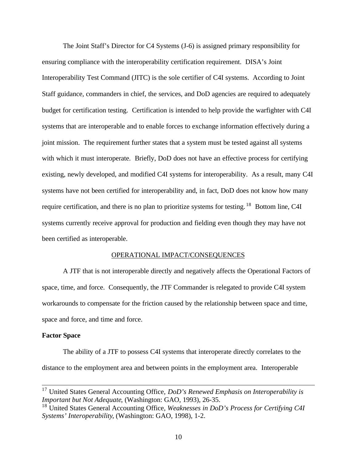The Joint Staff's Director for C4 Systems (J-6) is assigned primary responsibility for ensuring compliance with the interoperability certification requirement. DISA's Joint Interoperability Test Command (JITC) is the sole certifier of C4I systems. According to Joint Staff guidance, commanders in chief, the services, and DoD agencies are required to adequately budget for certification testing. Certification is intended to help provide the warfighter with C4I systems that are interoperable and to enable forces to exchange information effectively during a joint mission. The requirement further states that a system must be tested against all systems with which it must interoperate. Briefly, DoD does not have an effective process for certifying existing, newly developed, and modified C4I systems for interoperability. As a result, many C4I systems have not been certified for interoperability and, in fact, DoD does not know how many require certification, and there is no plan to prioritize systems for testing. <sup>18</sup> Bottom line, C4I systems currently receive approval for production and fielding even though they may have not been certified as interoperable.

## OPERATIONAL IMPACT/CONSEQUENCES

A JTF that is not interoperable directly and negatively affects the Operational Factors of space, time, and force. Consequently, the JTF Commander is relegated to provide C4I system workarounds to compensate for the friction caused by the relationship between space and time, space and force, and time and force.

## **Factor Space**

l

The ability of a JTF to possess C4I systems that interoperate directly correlates to the distance to the employment area and between points in the employment area. Interoperable

<sup>17</sup> United States General Accounting Office, *DoD's Renewed Emphasis on Interoperability is Important but Not Adequate*, (Washington: GAO, 1993), 26-35.

<sup>18</sup> United States General Accounting Office, *Weaknesses in DoD's Process for Certifying C4I Systems' Interoperability*, (Washington: GAO, 1998), 1-2.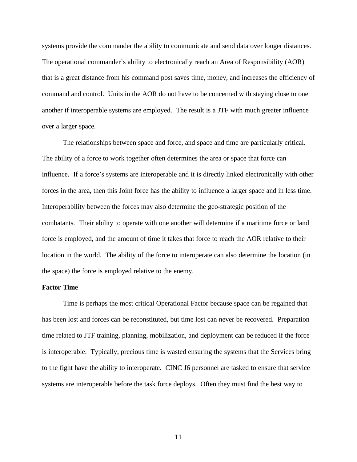systems provide the commander the ability to communicate and send data over longer distances. The operational commander's ability to electronically reach an Area of Responsibility (AOR) that is a great distance from his command post saves time, money, and increases the efficiency of command and control. Units in the AOR do not have to be concerned with staying close to one another if interoperable systems are employed. The result is a JTF with much greater influence over a larger space.

The relationships between space and force, and space and time are particularly critical. The ability of a force to work together often determines the area or space that force can influence. If a force's systems are interoperable and it is directly linked electronically with other forces in the area, then this Joint force has the ability to influence a larger space and in less time. Interoperability between the forces may also determine the geo-strategic position of the combatants. Their ability to operate with one another will determine if a maritime force or land force is employed, and the amount of time it takes that force to reach the AOR relative to their location in the world. The ability of the force to interoperate can also determine the location (in the space) the force is employed relative to the enemy.

## **Factor Time**

Time is perhaps the most critical Operational Factor because space can be regained that has been lost and forces can be reconstituted, but time lost can never be recovered. Preparation time related to JTF training, planning, mobilization, and deployment can be reduced if the force is interoperable. Typically, precious time is wasted ensuring the systems that the Services bring to the fight have the ability to interoperate. CINC J6 personnel are tasked to ensure that service systems are interoperable before the task force deploys. Often they must find the best way to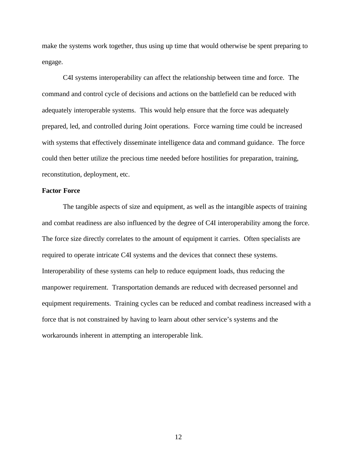make the systems work together, thus using up time that would otherwise be spent preparing to engage.

C4I systems interoperability can affect the relationship between time and force. The command and control cycle of decisions and actions on the battlefield can be reduced with adequately interoperable systems. This would help ensure that the force was adequately prepared, led, and controlled during Joint operations. Force warning time could be increased with systems that effectively disseminate intelligence data and command guidance. The force could then better utilize the precious time needed before hostilities for preparation, training, reconstitution, deployment, etc.

## **Factor Force**

The tangible aspects of size and equipment, as well as the intangible aspects of training and combat readiness are also influenced by the degree of C4I interoperability among the force. The force size directly correlates to the amount of equipment it carries. Often specialists are required to operate intricate C4I systems and the devices that connect these systems. Interoperability of these systems can help to reduce equipment loads, thus reducing the manpower requirement. Transportation demands are reduced with decreased personnel and equipment requirements. Training cycles can be reduced and combat readiness increased with a force that is not constrained by having to learn about other service's systems and the workarounds inherent in attempting an interoperable link.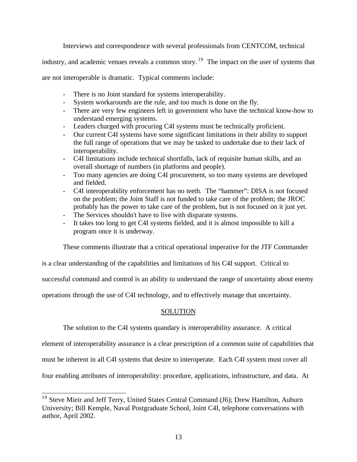Interviews and correspondence with several professionals from CENTCOM, technical

industry, and academic venues reveals a common story.<sup>19</sup> The impact on the user of systems that

are not interoperable is dramatic. Typical comments include:

- There is no Joint standard for systems interoperability.
- System workarounds are the rule, and too much is done on the fly.
- There are very few engineers left in government who have the technical know-how to understand emerging systems.
- Leaders charged with procuring C4I systems must be technically proficient.
- Our current C4I systems have some significant limitations in their ability to support the full range of operations that we may be tasked to undertake due to their lack of interoperability.
- C4I limitations include technical shortfalls, lack of requisite human skills, and an overall shortage of numbers (in platforms and people).
- Too many agencies are doing C4I procurement, so too many systems are developed and fielded.
- C4I interoperability enforcement has no teeth. The "hammer": DISA is not focused on the problem; the Joint Staff is not funded to take care of the problem; the JROC probably has the power to take care of the problem, but is not focused on it just yet.
- The Services shouldn't have to live with disparate systems.
- It takes too long to get C4I systems fielded, and it is almost impossible to kill a program once it is underway.

These comments illustrate that a critical operational imperative for the JTF Commander

is a clear understanding of the capabilities and limitations of his C4I support. Critical to

successful command and control is an ability to understand the range of uncertainty about enemy

operations through the use of C4I technology, and to effectively manage that uncertainty.

## **SOLUTION**

The solution to the C4I systems quandary is interoperability assurance. A critical

element of interoperability assurance is a clear prescription of a common suite of capabilities that

must be inherent in all C4I systems that desire to interoperate. Each C4I system must cover all

four enabling attributes of interoperability: procedure, applications, infrastructure, and data. At

l

<sup>&</sup>lt;sup>19</sup> Steve Mieir and Jeff Terry, United States Central Command (J6); Drew Hamilton, Auburn University; Bill Kemple, Naval Postgraduate School, Joint C4I, telephone conversations with author, April 2002.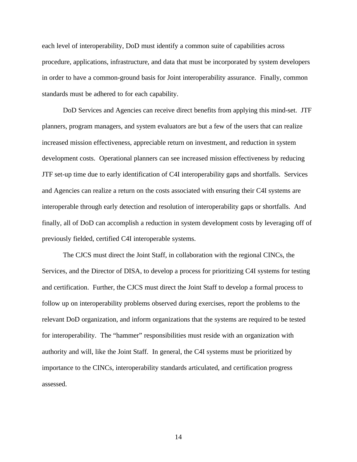each level of interoperability, DoD must identify a common suite of capabilities across procedure, applications, infrastructure, and data that must be incorporated by system developers in order to have a common-ground basis for Joint interoperability assurance. Finally, common standards must be adhered to for each capability.

DoD Services and Agencies can receive direct benefits from applying this mind-set. JTF planners, program managers, and system evaluators are but a few of the users that can realize increased mission effectiveness, appreciable return on investment, and reduction in system development costs. Operational planners can see increased mission effectiveness by reducing JTF set-up time due to early identification of C4I interoperability gaps and shortfalls. Services and Agencies can realize a return on the costs associated with ensuring their C4I systems are interoperable through early detection and resolution of interoperability gaps or shortfalls. And finally, all of DoD can accomplish a reduction in system development costs by leveraging off of previously fielded, certified C4I interoperable systems.

The CJCS must direct the Joint Staff, in collaboration with the regional CINCs, the Services, and the Director of DISA, to develop a process for prioritizing C4I systems for testing and certification. Further, the CJCS must direct the Joint Staff to develop a formal process to follow up on interoperability problems observed during exercises, report the problems to the relevant DoD organization, and inform organizations that the systems are required to be tested for interoperability. The "hammer" responsibilities must reside with an organization with authority and will, like the Joint Staff. In general, the C4I systems must be prioritized by importance to the CINCs, interoperability standards articulated, and certification progress assessed.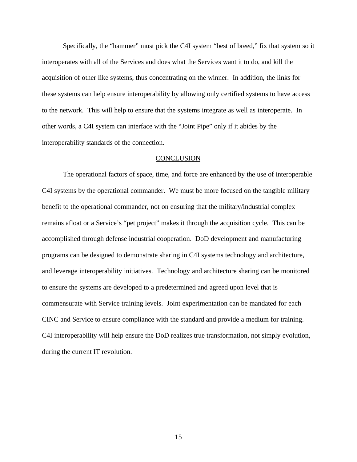Specifically, the "hammer" must pick the C4I system "best of breed," fix that system so it interoperates with all of the Services and does what the Services want it to do, and kill the acquisition of other like systems, thus concentrating on the winner. In addition, the links for these systems can help ensure interoperability by allowing only certified systems to have access to the network. This will help to ensure that the systems integrate as well as interoperate. In other words, a C4I system can interface with the "Joint Pipe" only if it abides by the interoperability standards of the connection.

#### **CONCLUSION**

The operational factors of space, time, and force are enhanced by the use of interoperable C4I systems by the operational commander. We must be more focused on the tangible military benefit to the operational commander, not on ensuring that the military/industrial complex remains afloat or a Service's "pet project" makes it through the acquisition cycle. This can be accomplished through defense industrial cooperation. DoD development and manufacturing programs can be designed to demonstrate sharing in C4I systems technology and architecture, and leverage interoperability initiatives. Technology and architecture sharing can be monitored to ensure the systems are developed to a predetermined and agreed upon level that is commensurate with Service training levels. Joint experimentation can be mandated for each CINC and Service to ensure compliance with the standard and provide a medium for training. C4I interoperability will help ensure the DoD realizes true transformation, not simply evolution, during the current IT revolution.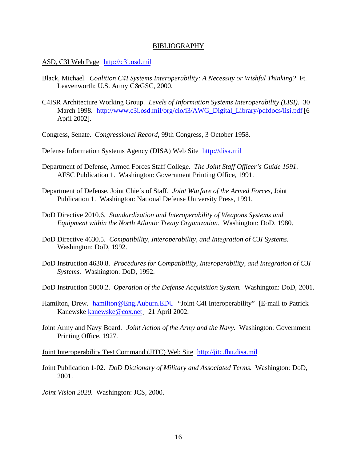#### BIBLIOGRAPHY

### ASD, C3I Web Page http://c3i.osd.mil

- Black, Michael. *Coalition C4I Systems Interoperability: A Necessity or Wishful Thinking?* Ft. Leavenworth: U.S. Army C&GSC, 2000.
- C4ISR Architecture Working Group. *Levels of Information Systems Interoperability (LISI).* 30 March 1998. http://www.c3i.osd.mil/org/cio/i3/AWG\_Digital\_Library/pdfdocs/lisi.pdf [6] April 2002].
- Congress, Senate. *Congressional Record*, 99th Congress, 3 October 1958.

Defense Information Systems Agency (DISA) Web Site http://disa.mil

- Department of Defense, Armed Forces Staff College. *The Joint Staff Officer's Guide 1991.* AFSC Publication 1. Washington: Government Printing Office, 1991.
- Department of Defense, Joint Chiefs of Staff. *Joint Warfare of the Armed Forces*, Joint Publication 1. Washington: National Defense University Press, 1991.
- DoD Directive 2010.6. *Standardization and Interoperability of Weapons Systems and Equipment within the North Atlantic Treaty Organization.* Washington: DoD, 1980.
- DoD Directive 4630.5. *Compatibility, Interoperability, and Integration of C3I Systems.* Washington: DoD, 1992.
- DoD Instruction 4630.8. *Procedures for Compatibility, Interoperability, and Integration of C3I Systems.* Washington: DoD, 1992.
- DoD Instruction 5000.2. *Operation of the Defense Acquisition System.* Washington: DoD, 2001.
- Hamilton, Drew. hamilton@Eng.Auburn.EDU "Joint C4I Interoperability" [E-mail to Patrick Kanewske kanewske@cox.net] 21 April 2002.
- Joint Army and Navy Board. *Joint Action of the Army and the Navy.* Washington: Government Printing Office, 1927.

Joint Interoperability Test Command (JITC) Web Site http://jitc.fhu.disa.mil

- Joint Publication 1-02. *DoD Dictionary of Military and Associated Terms.* Washington: DoD, 2001.
- *Joint Vision 2020.* Washington: JCS, 2000.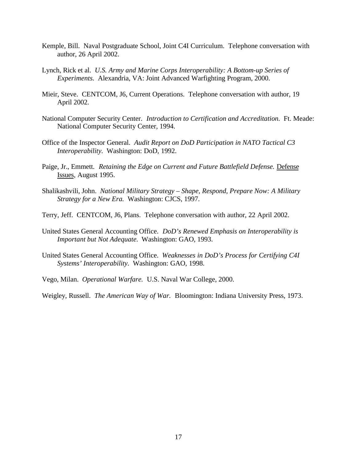- Kemple, Bill. Naval Postgraduate School, Joint C4I Curriculum. Telephone conversation with author, 26 April 2002.
- Lynch, Rick et al. *U.S. Army and Marine Corps Interoperability: A Bottom-up Series of Experiments.* Alexandria, VA: Joint Advanced Warfighting Program, 2000.
- Mieir, Steve. CENTCOM, J6, Current Operations. Telephone conversation with author, 19 April 2002.
- National Computer Security Center. *Introduction to Certification and Accreditation.* Ft. Meade: National Computer Security Center, 1994.
- Office of the Inspector General. *Audit Report on DoD Participation in NATO Tactical C3 Interoperability.* Washington: DoD, 1992.
- Paige, Jr., Emmett. *Retaining the Edge on Current and Future Battlefield Defense.* Defense Issues, August 1995.
- Shalikashvili, John. *National Military Strategy Shape, Respond, Prepare Now: A Military Strategy for a New Era.* Washington: CJCS, 1997.
- Terry, Jeff. CENTCOM, J6, Plans. Telephone conversation with author, 22 April 2002.
- United States General Accounting Office. *DoD's Renewed Emphasis on Interoperability is Important but Not Adequate.* Washington: GAO, 1993.
- United States General Accounting Office. *Weaknesses in DoD's Process for Certifying C4I Systems' Interoperability.* Washington: GAO, 1998.
- Vego, Milan. *Operational Warfare.* U.S. Naval War College, 2000.

Weigley, Russell. *The American Way of War.* Bloomington: Indiana University Press, 1973.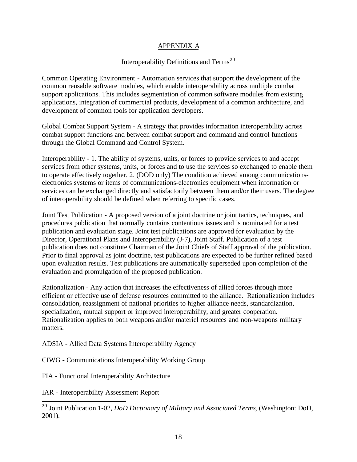# APPENDIX A

# Interoperability Definitions and Terms<sup>20</sup>

Common Operating Environment - Automation services that support the development of the common reusable software modules, which enable interoperability across multiple combat support applications. This includes segmentation of common software modules from existing applications, integration of commercial products, development of a common architecture, and development of common tools for application developers.

Global Combat Support System - A strategy that provides information interoperability across combat support functions and between combat support and command and control functions through the Global Command and Control System.

Interoperability - 1. The ability of systems, units, or forces to provide services to and accept services from other systems, units, or forces and to use the services so exchanged to enable them to operate effectively together. 2. (DOD only) The condition achieved among communicationselectronics systems or items of communications-electronics equipment when information or services can be exchanged directly and satisfactorily between them and/or their users. The degree of interoperability should be defined when referring to specific cases.

Joint Test Publication - A proposed version of a joint doctrine or joint tactics, techniques, and procedures publication that normally contains contentious issues and is nominated for a test publication and evaluation stage. Joint test publications are approved for evaluation by the Director, Operational Plans and Interoperability (J-7), Joint Staff. Publication of a test publication does not constitute Chairman of the Joint Chiefs of Staff approval of the publication. Prior to final approval as joint doctrine, test publications are expected to be further refined based upon evaluation results. Test publications are automatically superseded upon completion of the evaluation and promulgation of the proposed publication.

Rationalization - Any action that increases the effectiveness of allied forces through more efficient or effective use of defense resources committed to the alliance. Rationalization includes consolidation, reassignment of national priorities to higher alliance needs, standardization, specialization, mutual support or improved interoperability, and greater cooperation. Rationalization applies to both weapons and/or materiel resources and non-weapons military matters.

ADSIA - Allied Data Systems Interoperability Agency

CIWG - Communications Interoperability Working Group

FIA - Functional Interoperability Architecture

IAR - Interoperability Assessment Report

l

<sup>20</sup> Joint Publication 1-02, *DoD Dictionary of Military and Associated Terms*, (Washington: DoD, 2001).